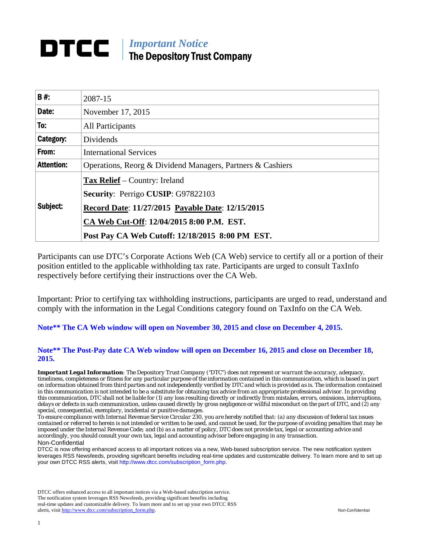# *Important Notice*  The Depository Trust Company

| B#:               | 2087-15                                                    |  |  |  |  |
|-------------------|------------------------------------------------------------|--|--|--|--|
| Date:             | November 17, 2015                                          |  |  |  |  |
| To:               | <b>All Participants</b>                                    |  |  |  |  |
| Category:         | Dividends                                                  |  |  |  |  |
| From:             | <b>International Services</b>                              |  |  |  |  |
| <b>Attention:</b> | Operations, Reorg & Dividend Managers, Partners & Cashiers |  |  |  |  |
|                   | <b>Tax Relief</b> – Country: Ireland                       |  |  |  |  |
|                   | <b>Security: Perrigo CUSIP: G97822103</b>                  |  |  |  |  |
| Subject:          | Record Date: 11/27/2015 Payable Date: 12/15/2015           |  |  |  |  |
|                   | CA Web Cut-Off: 12/04/2015 8:00 P.M. EST.                  |  |  |  |  |
|                   | Post Pay CA Web Cutoff: 12/18/2015 8:00 PM EST.            |  |  |  |  |

Participants can use DTC's Corporate Actions Web (CA Web) service to certify all or a portion of their position entitled to the applicable withholding tax rate. Participants are urged to consult TaxInfo respectively before certifying their instructions over the CA Web.

Important: Prior to certifying tax withholding instructions, participants are urged to read, understand and comply with the information in the Legal Conditions category found on TaxInfo on the CA Web.

**Note\*\* The CA Web window will open on November 30, 2015 and close on December 4, 2015.** 

#### **Note\*\* The Post-Pay date CA Web window will open on December 16, 2015 and close on December 18, 2015.**

*Important Legal Information: The Depository Trust Company ("DTC") does not represent or warrant the accuracy, adequacy, timeliness, completeness or fitness for any particular purpose of the information contained in this communication, which is based in part on information obtained from third parties and not independently verified by DTC and which is provided as is. The information contained in this communication is not intended to be a substitute for obtaining tax advice from an appropriate professional advisor. In providing this communication, DTC shall not be liable for (1) any loss resulting directly or indirectly from mistakes, errors, omissions, interruptions, delays or defects in such communication, unless caused directly by gross negligence or willful misconduct on the part of DTC, and (2) any special, consequential, exemplary, incidental or punitive damages.* 

*To ensure compliance with Internal Revenue Service Circular 230, you are hereby notified that: (a) any discussion of federal tax issues contained or referred to herein is not intended or written to be used, and cannot be used, for the purpose of avoiding penalties that may be imposed under the Internal Revenue Code; and (b) as a matter of policy, DTC does not provide tax, legal or accounting advice and accordingly, you should consult your own tax, legal and accounting advisor before engaging in any transaction.* Non-Confidential

DTCC is now offering enhanced access to all important notices via a new, Web-based subscription service. The new notification system leverages RSS Newsfeeds, providing significant benefits including real-time updates and customizable delivery. To learn more and to set up your own DTCC RSS alerts, visit http://www.dtcc.com/subscription\_form.php.

DTCC offers enhanced access to all important notices via a Web-based subscription service. The notification system leverages RSS Newsfeeds, providing significant benefits including real-time updates and customizable delivery. To learn more and to set up your own DTCC RSS alerts, visit http://www.dtcc.com/subscription\_form.php. Non-Confidential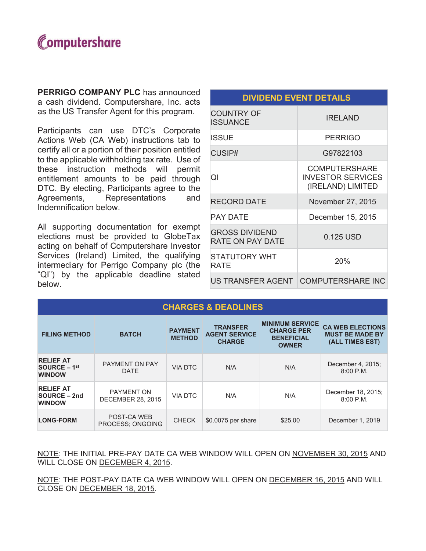

**PERRIGO COMPANY PLC** has announced a cash dividend. Computershare, Inc. acts as the US Transfer Agent for this program.

Participants can use DTC's Corporate Actions Web (CA Web) instructions tab to certify all or a portion of their position entitled to the applicable withholding tax rate. Use of these instruction methods will permit entitlement amounts to be paid through DTC. By electing, Participants agree to the Representations Agreements. and Indemnification below.

All supporting documentation for exempt elections must be provided to GlobeTax acting on behalf of Computershare Investor Services (Ireland) Limited, the qualifying intermediary for Perrigo Company plc (the "QI") by the applicable deadline stated below.

| <b>COUNTRY OF</b><br><b>ISSUANCE</b>             | <b>IRELAND</b>                                                        |
|--------------------------------------------------|-----------------------------------------------------------------------|
| ISSUE                                            | <b>PERRIGO</b>                                                        |
| CUSIP#                                           | G97822103                                                             |
| ΩI                                               | <b>COMPUTERSHARE</b><br><b>INVESTOR SERVICES</b><br>(IRELAND) LIMITED |
| <b>RECORD DATE</b>                               | November 27, 2015                                                     |
| PAY DATE                                         | December 15, 2015                                                     |
| <b>GROSS DIVIDEND</b><br><b>RATE ON PAY DATE</b> | 0.125 USD                                                             |
| <b>STATUTORY WHT</b><br>RATE                     | 20%                                                                   |
|                                                  | US TRANSFER AGENT   COMPUTERSHARE INC                                 |

**DIVIDEND EVENT DETAILS** 

| <b>CHARGES &amp; DEADLINES</b>                      |                                               |                                 |                                                          |                                                                                  |                                                                      |
|-----------------------------------------------------|-----------------------------------------------|---------------------------------|----------------------------------------------------------|----------------------------------------------------------------------------------|----------------------------------------------------------------------|
| <b>FILING METHOD</b>                                | <b>BATCH</b>                                  | <b>PAYMENT</b><br><b>METHOD</b> | <b>TRANSFER</b><br><b>AGENT SERVICE</b><br><b>CHARGE</b> | <b>MINIMUM SERVICE</b><br><b>CHARGE PER</b><br><b>BENEFICIAL</b><br><b>OWNER</b> | <b>CA WEB ELECTIONS</b><br><b>MUST BE MADE BY</b><br>(ALL TIMES EST) |
| <b>RELIEF AT</b><br>$SOURCE - 1st$<br><b>WINDOW</b> | <b>PAYMENT ON PAY</b><br><b>DATE</b>          | VIA DTC                         | N/A                                                      | N/A                                                                              | December 4, 2015;<br>$8:00$ P.M.                                     |
| <b>RELIEF AT</b><br>SOURCE – 2nd<br><b>WINDOW</b>   | <b>PAYMENT ON</b><br><b>DECEMBER 28, 2015</b> | <b>VIA DTC</b>                  | N/A                                                      | N/A                                                                              | December 18, 2015;<br>$8:00$ P.M.                                    |
| <b>LONG-FORM</b>                                    | POST-CA WEB<br>PROCESS: ONGOING               | <b>CHECK</b>                    | \$0.0075 per share                                       | \$25.00                                                                          | December 1, 2019                                                     |

NOTE: THE INITIAL PRE-PAY DATE CA WEB WINDOW WILL OPEN ON NOVEMBER 30, 2015 AND WILL CLOSE ON DECEMBER 4, 2015.

NOTE: THE POST-PAY DATE CA WEB WINDOW WILL OPEN ON DECEMBER 16, 2015 AND WILL CLOSE ON DECEMBER 18, 2015.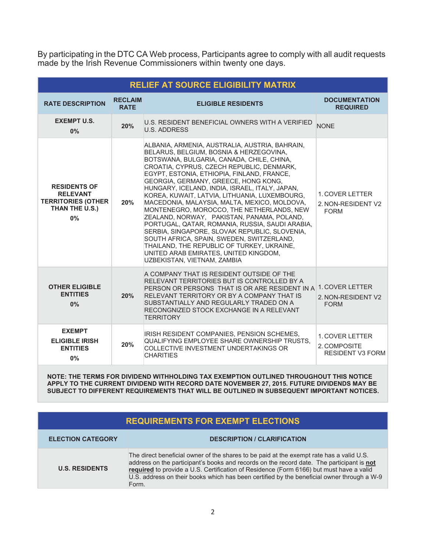By participating in the DTC CA Web process, Participants agree to comply with all audit requests made by the Irish Revenue Commissioners within twenty one days.

| <b>RELIEF AT SOURCE ELIGIBILITY MATRIX</b>                                                  |                               |                                                                                                                                                                                                                                                                                                                                                                                                                                                                                                                                                                                                                                                                                                                                                                                                |                                                            |  |
|---------------------------------------------------------------------------------------------|-------------------------------|------------------------------------------------------------------------------------------------------------------------------------------------------------------------------------------------------------------------------------------------------------------------------------------------------------------------------------------------------------------------------------------------------------------------------------------------------------------------------------------------------------------------------------------------------------------------------------------------------------------------------------------------------------------------------------------------------------------------------------------------------------------------------------------------|------------------------------------------------------------|--|
| <b>RATE DESCRIPTION</b>                                                                     | <b>RECLAIM</b><br><b>RATE</b> | <b>ELIGIBLE RESIDENTS</b>                                                                                                                                                                                                                                                                                                                                                                                                                                                                                                                                                                                                                                                                                                                                                                      | <b>DOCUMENTATION</b><br><b>REQUIRED</b>                    |  |
| <b>EXEMPT U.S.</b><br>$0\%$                                                                 | 20%                           | U.S. RESIDENT BENEFICIAL OWNERS WITH A VERIFIED<br><b>U.S. ADDRESS</b>                                                                                                                                                                                                                                                                                                                                                                                                                                                                                                                                                                                                                                                                                                                         | <b>NONE</b>                                                |  |
| <b>RESIDENTS OF</b><br><b>RELEVANT</b><br><b>TERRITORIES (OTHER</b><br>THAN THE U.S.)<br>0% | 20%                           | ALBANIA, ARMENIA, AUSTRALIA, AUSTRIA, BAHRAIN,<br>BELARUS, BELGIUM, BOSNIA & HERZEGOVINA,<br>BOTSWANA, BULGARIA, CANADA, CHILE, CHINA,<br>CROATIA, CYPRUS, CZECH REPUBLIC, DENMARK,<br>EGYPT, ESTONIA, ETHIOPIA, FINLAND, FRANCE,<br>GEORGIA, GERMANY, GREECE, HONG KONG,<br>HUNGARY, ICELAND, INDIA, ISRAEL, ITALY, JAPAN,<br>KOREA, KUWAIT, LATVIA, LITHUANIA, LUXEMBOURG,<br>MACEDONIA, MALAYSIA, MALTA, MEXICO, MOLDOVA,<br>MONTENEGRO, MOROCCO, THE NETHERLANDS, NEW<br>ZEALAND, NORWAY, PAKISTAN, PANAMA, POLAND,<br>PORTUGAL, QATAR, ROMANIA, RUSSIA, SAUDI ARABIA,<br>SERBIA, SINGAPORE, SLOVAK REPUBLIC, SLOVENIA,<br>SOUTH AFRICA, SPAIN, SWEDEN, SWITZERLAND,<br>THAILAND, THE REPUBLIC OF TURKEY, UKRAINE,<br>UNITED ARAB EMIRATES, UNITED KINGDOM,<br>UZBEKISTAN, VIETNAM, ZAMBIA | 1. COVER LETTER<br>2. NON-RESIDENT V2<br><b>FORM</b>       |  |
| <b>OTHER ELIGIBLE</b><br><b>ENTITIES</b><br>0%                                              | 20%                           | A COMPANY THAT IS RESIDENT OUTSIDE OF THE<br>RELEVANT TERRITORIES BUT IS CONTROLLED BY A<br>PERSON OR PERSONS THAT IS OR ARE RESIDENT IN A<br>RELEVANT TERRITORY OR BY A COMPANY THAT IS<br>SUBSTANTIALLY AND REGULARLY TRADED ON A<br>RECONGNIZED STOCK EXCHANGE IN A RELEVANT<br><b>TERRITORY</b>                                                                                                                                                                                                                                                                                                                                                                                                                                                                                            | 1. COVER LETTER<br>2. NON-RESIDENT V2<br><b>FORM</b>       |  |
| <b>EXEMPT</b><br><b>ELIGIBLE IRISH</b><br><b>ENTITIES</b><br>0%                             | 20%                           | <b>IRISH RESIDENT COMPANIES, PENSION SCHEMES,</b><br>QUALIFYING EMPLOYEE SHARE OWNERSHIP TRUSTS.<br>COLLECTIVE INVESTMENT UNDERTAKINGS OR<br><b>CHARITIES</b>                                                                                                                                                                                                                                                                                                                                                                                                                                                                                                                                                                                                                                  | 1. COVER LETTER<br>2. COMPOSITE<br><b>RESIDENT V3 FORM</b> |  |

NOTE: THE TERMS FOR DIVIDEND WITHHOLDING TAX EXEMPTION OUTLINED THROUGHOUT THIS NOTICE APPLY TO THE CURRENT DIVIDEND WITH RECORD DATE NOVEMBER 27, 2015. FUTURE DIVIDENDS MAY BE SUBJECT TO DIFFERENT REQUIREMENTS THAT WILL BE OUTLINED IN SUBSEQUENT IMPORTANT NOTICES.

## **REQUIREMENTS FOR EXEMPT ELECTIONS**

| <b>ELECTION CATEGORY</b> | <b>DESCRIPTION / CLARIFICATION</b>                                                                                                                                                                                                                                                                                                                                                      |
|--------------------------|-----------------------------------------------------------------------------------------------------------------------------------------------------------------------------------------------------------------------------------------------------------------------------------------------------------------------------------------------------------------------------------------|
| <b>U.S. RESIDENTS</b>    | The direct beneficial owner of the shares to be paid at the exempt rate has a valid U.S.<br>address on the participant's books and records on the record date. The participant is not<br>required to provide a U.S. Certification of Residence (Form 6166) but must have a valid<br>U.S. address on their books which has been certified by the beneficial owner through a W-9<br>Form. |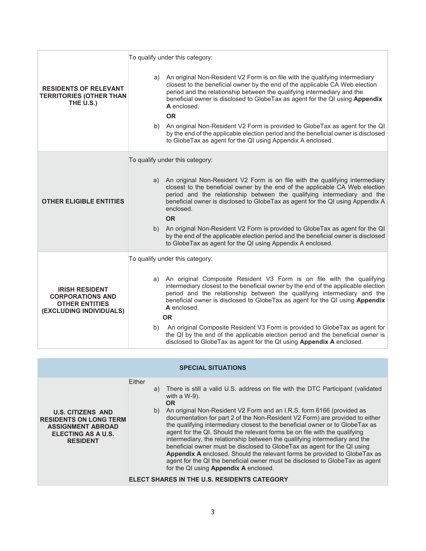|                                                                                                      | To qualify under this category:                                                                                                                                                                                                                                                                                                                                                                                                           |
|------------------------------------------------------------------------------------------------------|-------------------------------------------------------------------------------------------------------------------------------------------------------------------------------------------------------------------------------------------------------------------------------------------------------------------------------------------------------------------------------------------------------------------------------------------|
| <b>RESIDENTS OF RELEVANT</b><br><b>TERRITORIES (OTHER THAN</b><br>THE U.S.)                          | a) An original Non-Resident V2 Form is on file with the qualifying intermediary<br>closest to the beneficial owner by the end of the applicable CA Web election<br>period and the relationship between the qualifying intermediary and the<br>beneficial owner is disclosed to GlobeTax as agent for the QI using Appendix<br>A enclosed.<br><b>OR</b><br>b) An original Non-Resident V2 Form is provided to GlobeTax as agent for the QI |
|                                                                                                      | by the end of the applicable election period and the beneficial owner is disclosed<br>to GlobeTax as agent for the QI using Appendix A enclosed.                                                                                                                                                                                                                                                                                          |
|                                                                                                      | To qualify under this category:                                                                                                                                                                                                                                                                                                                                                                                                           |
| <b>OTHER ELIGIBLE ENTITIES</b>                                                                       | a) An original Non-Resident V2 Form is on file with the qualifying intermediary<br>closest to the beneficial owner by the end of the applicable CA Web election<br>period and the relationship between the qualifying intermediary and the<br>beneficial owner is disclosed to GlobeTax as agent for the QI using Appendix A<br>enclosed.<br><b>OR</b>                                                                                    |
|                                                                                                      | An original Non-Resident V2 Form is provided to GlobeTax as agent for the QI<br>b)<br>by the end of the applicable election period and the beneficial owner is disclosed<br>to GlobeTax as agent for the QI using Appendix A enclosed.                                                                                                                                                                                                    |
|                                                                                                      | To qualify under this category:                                                                                                                                                                                                                                                                                                                                                                                                           |
| <b>IRISH RESIDENT</b><br><b>CORPORATIONS AND</b><br><b>OTHER ENTITIES</b><br>(EXCLUDING INDIVIDUALS) | a) An original Composite Resident V3 Form is on file with the qualifying<br>intermediary closest to the beneficial owner by the end of the applicable election<br>period and the relationship between the qualifying intermediary and the<br>beneficial owner is disclosed to GlobeTax as agent for the QI using Appendix<br>A enclosed.                                                                                                  |
|                                                                                                      | <b>OR</b>                                                                                                                                                                                                                                                                                                                                                                                                                                 |
|                                                                                                      | An original Composite Resident V3 Form is provided to GlobeTax as agent for<br>b)<br>the QI by the end of the applicable election period and the beneficial owner is<br>disclosed to GlobeTax as agent for the QI using Appendix A enclosed.                                                                                                                                                                                              |

| <b>SPECIAL SITUATIONS</b>                                                                                                      |              |                                                                                                                                                                                                                                                                                                                                                                                                                                                                                                                                                                                                                                                                                                                                                                                                                                                           |  |  |
|--------------------------------------------------------------------------------------------------------------------------------|--------------|-----------------------------------------------------------------------------------------------------------------------------------------------------------------------------------------------------------------------------------------------------------------------------------------------------------------------------------------------------------------------------------------------------------------------------------------------------------------------------------------------------------------------------------------------------------------------------------------------------------------------------------------------------------------------------------------------------------------------------------------------------------------------------------------------------------------------------------------------------------|--|--|
| <b>U.S. CITIZENS AND</b><br><b>RESIDENTS ON LONG TERM</b><br><b>ASSIGNMENT ABROAD</b><br>ELECTING AS A U.S.<br><b>RESIDENT</b> | Either<br>b) | a) There is still a valid U.S. address on file with the DTC Participant (validated<br>with a $W-9$ ).<br><b>OR</b><br>An original Non-Resident V2 Form and an I.R.S. form 6166 (provided as<br>documentation for part 2 of the Non-Resident V2 Form) are provided to either<br>the qualifying intermediary closest to the beneficial owner or to GlobeTax as<br>agent for the QI. Should the relevant forms be on file with the qualifying<br>intermediary, the relationship between the qualifying intermediary and the<br>beneficial owner must be disclosed to GlobeTax as agent for the QI using<br>Appendix A enclosed. Should the relevant forms be provided to GlobeTax as<br>agent for the QI the beneficial owner must be disclosed to GlobeTax as agent<br>for the QI using Appendix A enclosed.<br>ELECT SHARES IN THE U.S. RESIDENTS CATEGORY |  |  |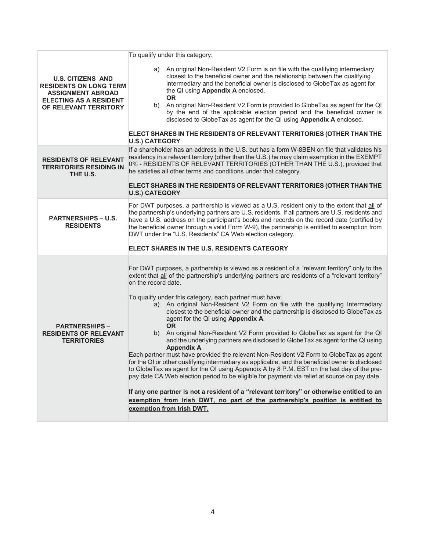|                                                                                                                                                 | To qualify under this category:                                                                                                                                                                                                                                                                                                                                                                                                                                                                                                                                                                                                                                                                                                                                                                                                                                                                                                                                                                                                                                                                                                                                                                                                                                                                             |
|-------------------------------------------------------------------------------------------------------------------------------------------------|-------------------------------------------------------------------------------------------------------------------------------------------------------------------------------------------------------------------------------------------------------------------------------------------------------------------------------------------------------------------------------------------------------------------------------------------------------------------------------------------------------------------------------------------------------------------------------------------------------------------------------------------------------------------------------------------------------------------------------------------------------------------------------------------------------------------------------------------------------------------------------------------------------------------------------------------------------------------------------------------------------------------------------------------------------------------------------------------------------------------------------------------------------------------------------------------------------------------------------------------------------------------------------------------------------------|
| <b>U.S. CITIZENS AND</b><br><b>RESIDENTS ON LONG TERM</b><br><b>ASSIGNMENT ABROAD</b><br><b>ELECTING AS A RESIDENT</b><br>OF RELEVANT TERRITORY | a) An original Non-Resident V2 Form is on file with the qualifying intermediary<br>closest to the beneficial owner and the relationship between the qualifying<br>intermediary and the beneficial owner is disclosed to GlobeTax as agent for<br>the QI using Appendix A enclosed.<br><b>OR</b><br>b) An original Non-Resident V2 Form is provided to GlobeTax as agent for the QI<br>by the end of the applicable election period and the beneficial owner is<br>disclosed to GlobeTax as agent for the QI using Appendix A enclosed.<br>ELECT SHARES IN THE RESIDENTS OF RELEVANT TERRITORIES (OTHER THAN THE<br><b>U.S.) CATEGORY</b>                                                                                                                                                                                                                                                                                                                                                                                                                                                                                                                                                                                                                                                                    |
| <b>RESIDENTS OF RELEVANT</b><br><b>TERRITORIES RESIDING IN</b><br>THE U.S.                                                                      | If a shareholder has an address in the U.S. but has a form W-8BEN on file that validates his<br>residency in a relevant territory (other than the U.S.) he may claim exemption in the EXEMPT<br>0% - RESIDENTS OF RELEVANT TERRITORIES (OTHER THAN THE U.S.), provided that<br>he satisfies all other terms and conditions under that category.<br>ELECT SHARES IN THE RESIDENTS OF RELEVANT TERRITORIES (OTHER THAN THE<br><b>U.S.) CATEGORY</b>                                                                                                                                                                                                                                                                                                                                                                                                                                                                                                                                                                                                                                                                                                                                                                                                                                                           |
| <b>PARTNERSHIPS - U.S.</b><br><b>RESIDENTS</b>                                                                                                  | For DWT purposes, a partnership is viewed as a U.S. resident only to the extent that all of<br>the partnership's underlying partners are U.S. residents. If all partners are U.S. residents and<br>have a U.S. address on the participant's books and records on the record date (certified by<br>the beneficial owner through a valid Form W-9), the partnership is entitled to exemption from<br>DWT under the "U.S. Residents" CA Web election category.<br>ELECT SHARES IN THE U.S. RESIDENTS CATEGORY                                                                                                                                                                                                                                                                                                                                                                                                                                                                                                                                                                                                                                                                                                                                                                                                  |
| <b>PARTNERSHIPS -</b><br><b>RESIDENTS OF RELEVANT</b><br><b>TERRITORIES</b>                                                                     | For DWT purposes, a partnership is viewed as a resident of a "relevant territory" only to the<br>extent that all of the partnership's underlying partners are residents of a "relevant territory"<br>on the record date.<br>To qualify under this category, each partner must have:<br>a) An original Non-Resident V2 Form on file with the qualifying Intermediary<br>closest to the beneficial owner and the partnership is disclosed to GlobeTax as<br>agent for the QI using Appendix A.<br><b>OR</b><br>b) An original Non-Resident V2 Form provided to GlobeTax as agent for the QI<br>and the underlying partners are disclosed to GlobeTax as agent for the QI using<br><b>Appendix A.</b><br>Each partner must have provided the relevant Non-Resident V2 Form to GlobeTax as agent<br>for the QI or other qualifying intermediary as applicable, and the beneficial owner is disclosed<br>to GlobeTax as agent for the QI using Appendix A by 8 P.M. EST on the last day of the pre-<br>pay date CA Web election period to be eligible for payment via relief at source on pay date.<br>If any one partner is not a resident of a "relevant territory" or otherwise entitled to an<br>exemption from Irish DWT, no part of the partnership's position is entitled to<br>exemption from Irish DWT. |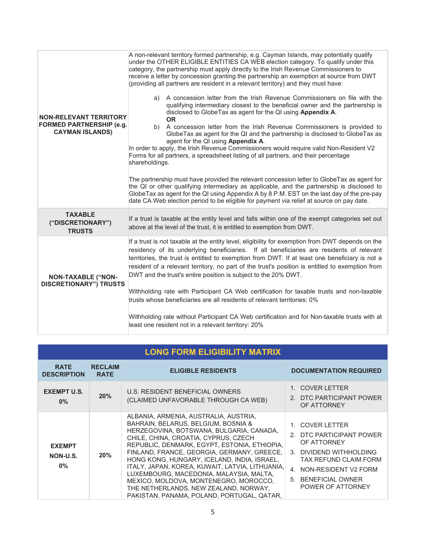| <b>NON-RELEVANT TERRITORY</b><br><b>FORMED PARTNERSHIP (e.g.</b><br><b>CAYMAN ISLANDS)</b>                                                                                                                                                                                                                                                                                                                                                                                                                                                                                                                                                                                                                                                                                                                                                                         | A non-relevant territory formed partnership, e.g. Cayman Islands, may potentially qualify<br>under the OTHER ELIGIBLE ENTITIES CA WEB election category. To qualify under this<br>category, the partnership must apply directly to the Irish Revenue Commissioners to<br>receive a letter by concession granting the partnership an exemption at source from DWT<br>(providing all partners are resident in a relevant territory) and they must have:<br>a) A concession letter from the Irish Revenue Commissioners on file with the<br>qualifying intermediary closest to the beneficial owner and the partnership is<br>disclosed to GlobeTax as agent for the QI using Appendix A.<br><b>OR</b><br>b) A concession letter from the Irish Revenue Commissioners is provided to<br>GlobeTax as agent for the QI and the partnership is disclosed to GlobeTax as<br>agent for the QI using Appendix A.<br>In order to apply, the Irish Revenue Commissioners would require valid Non-Resident V2<br>Forms for all partners, a spreadsheet listing of all partners, and their percentage<br>shareholdings.<br>The partnership must have provided the relevant concession letter to GlobeTax as agent for<br>the QI or other qualifying intermediary as applicable, and the partnership is disclosed to<br>GlobeTax as agent for the QI using Appendix A by 8 P.M. EST on the last day of the pre-pay |  |  |  |  |
|--------------------------------------------------------------------------------------------------------------------------------------------------------------------------------------------------------------------------------------------------------------------------------------------------------------------------------------------------------------------------------------------------------------------------------------------------------------------------------------------------------------------------------------------------------------------------------------------------------------------------------------------------------------------------------------------------------------------------------------------------------------------------------------------------------------------------------------------------------------------|------------------------------------------------------------------------------------------------------------------------------------------------------------------------------------------------------------------------------------------------------------------------------------------------------------------------------------------------------------------------------------------------------------------------------------------------------------------------------------------------------------------------------------------------------------------------------------------------------------------------------------------------------------------------------------------------------------------------------------------------------------------------------------------------------------------------------------------------------------------------------------------------------------------------------------------------------------------------------------------------------------------------------------------------------------------------------------------------------------------------------------------------------------------------------------------------------------------------------------------------------------------------------------------------------------------------------------------------------------------------------------------------------|--|--|--|--|
|                                                                                                                                                                                                                                                                                                                                                                                                                                                                                                                                                                                                                                                                                                                                                                                                                                                                    | date CA Web election period to be eligible for payment via relief at source on pay date.                                                                                                                                                                                                                                                                                                                                                                                                                                                                                                                                                                                                                                                                                                                                                                                                                                                                                                                                                                                                                                                                                                                                                                                                                                                                                                             |  |  |  |  |
| <b>TAXABLE</b><br>("DISCRETIONARY")<br><b>TRUSTS</b>                                                                                                                                                                                                                                                                                                                                                                                                                                                                                                                                                                                                                                                                                                                                                                                                               | If a trust is taxable at the entity level and falls within one of the exempt categories set out<br>above at the level of the trust, it is entitled to exemption from DWT.                                                                                                                                                                                                                                                                                                                                                                                                                                                                                                                                                                                                                                                                                                                                                                                                                                                                                                                                                                                                                                                                                                                                                                                                                            |  |  |  |  |
| If a trust is not taxable at the entity level, eligibility for exemption from DWT depends on the<br>residency of its underlying beneficiaries. If all beneficiaries are residents of relevant<br>territories, the trust is entitled to exemption from DWT. If at least one beneficiary is not a<br>resident of a relevant territory, no part of the trust's position is entitled to exemption from<br>DWT and the trust's entire position is subject to the 20% DWT.<br><b>NON-TAXABLE ("NON-</b><br><b>DISCRETIONARY") TRUSTS</b><br>Withholding rate with Participant CA Web certification for taxable trusts and non-taxable<br>trusts whose beneficiaries are all residents of relevant territories: 0%<br>Withholding rate without Participant CA Web certification and for Non-taxable trusts with at<br>least one resident not in a relevant territory: 20% |                                                                                                                                                                                                                                                                                                                                                                                                                                                                                                                                                                                                                                                                                                                                                                                                                                                                                                                                                                                                                                                                                                                                                                                                                                                                                                                                                                                                      |  |  |  |  |

| <b>LONG FORM ELIGIBILITY MATRIX</b> |                               |                                                                                                                                                                                                                                                                                                                                                                                                                                                                                                                                             |                                                                                                                                                                                              |  |  |  |
|-------------------------------------|-------------------------------|---------------------------------------------------------------------------------------------------------------------------------------------------------------------------------------------------------------------------------------------------------------------------------------------------------------------------------------------------------------------------------------------------------------------------------------------------------------------------------------------------------------------------------------------|----------------------------------------------------------------------------------------------------------------------------------------------------------------------------------------------|--|--|--|
| <b>RATE</b><br><b>DESCRIPTION</b>   | <b>RECLAIM</b><br><b>RATE</b> | <b>ELIGIBLE RESIDENTS</b>                                                                                                                                                                                                                                                                                                                                                                                                                                                                                                                   | <b>DOCUMENTATION REQUIRED</b>                                                                                                                                                                |  |  |  |
| <b>EXEMPT U.S.</b><br>0%            | 20%                           | U.S. RESIDENT BENEFICIAL OWNERS<br>(CLAIMED UNFAVORABLE THROUGH CA WEB)                                                                                                                                                                                                                                                                                                                                                                                                                                                                     | 1. COVER LETTER<br>2. DTC PARTICIPANT POWER<br>OF ATTORNEY                                                                                                                                   |  |  |  |
| <b>EXEMPT</b><br>NON-U.S.<br>$0\%$  | 20%                           | ALBANIA, ARMENIA, AUSTRALIA, AUSTRIA,<br>BAHRAIN, BELARUS, BELGIUM, BOSNIA &<br>HERZEGOVINA, BOTSWANA, BULGARIA, CANADA,<br>CHILE, CHINA, CROATIA, CYPRUS, CZECH<br>REPUBLIC, DENMARK, EGYPT, ESTONIA, ETHIOPIA,<br>FINLAND, FRANCE, GEORGIA, GERMANY, GREECE,<br>HONG KONG, HUNGARY, ICELAND, INDIA, ISRAEL,<br>ITALY, JAPAN, KOREA, KUWAIT, LATVIA, LITHUANIA,<br>LUXEMBOURG, MACEDONIA, MALAYSIA, MALTA,<br>MEXICO, MOLDOVA, MONTENEGRO, MOROCCO,<br>THE NETHERLANDS, NEW ZEALAND, NORWAY,<br>PAKISTAN, PANAMA, POLAND, PORTUGAL, QATAR, | 1. COVER LETTER<br>2. DTC PARTICIPANT POWER<br>OF ATTORNEY<br>3. DIVIDEND WITHHOLDING<br><b>TAX REFUND CLAIM FORM</b><br>4. NON-RESIDENT V2 FORM<br>5. BENEFICIAL OWNER<br>POWER OF ATTORNEY |  |  |  |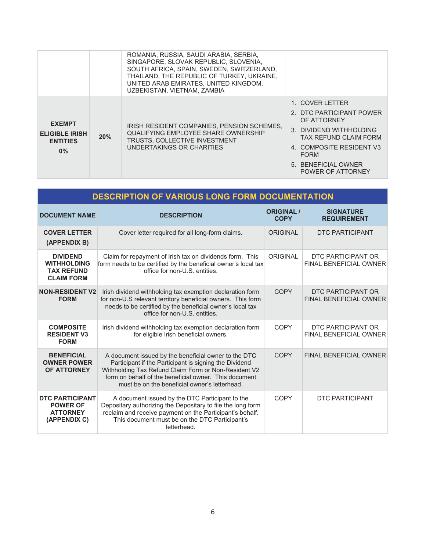|                                                                    |     | ROMANIA, RUSSIA, SAUDI ARABIA, SERBIA,<br>SINGAPORE, SLOVAK REPUBLIC, SLOVENIA.<br>SOUTH AFRICA, SPAIN, SWEDEN, SWITZERLAND,<br>THAILAND. THE REPUBLIC OF TURKEY, UKRAINE.<br>UNITED ARAB EMIRATES, UNITED KINGDOM,<br>UZBEKISTAN, VIETNAM, ZAMBIA |                                                                                                                                                                                                       |
|--------------------------------------------------------------------|-----|----------------------------------------------------------------------------------------------------------------------------------------------------------------------------------------------------------------------------------------------------|-------------------------------------------------------------------------------------------------------------------------------------------------------------------------------------------------------|
| <b>EXEMPT</b><br><b>ELIGIBLE IRISH</b><br><b>ENTITIES</b><br>$0\%$ | 20% | IRISH RESIDENT COMPANIES, PENSION SCHEMES,<br>QUALIFYING EMPLOYEE SHARE OWNERSHIP<br><b>TRUSTS, COLLECTIVE INVESTMENT</b><br>UNDERTAKINGS OR CHARITIES                                                                                             | 1. COVER LETTER<br>2. DTC PARTICIPANT POWER<br>OF ATTORNEY<br>3. DIVIDEND WITHHOLDING<br>TAX REFUND CLAIM FORM<br>4. COMPOSITE RESIDENT V3<br><b>FORM</b><br>5. BENEFICIAL OWNER<br>POWER OF ATTORNEY |

| <b>DESCRIPTION OF VARIOUS LONG FORM DOCUMENTATION</b>                           |                                                                                                                                                                                                                                                                                  |                                  |                                                     |  |  |  |
|---------------------------------------------------------------------------------|----------------------------------------------------------------------------------------------------------------------------------------------------------------------------------------------------------------------------------------------------------------------------------|----------------------------------|-----------------------------------------------------|--|--|--|
| <b>DOCUMENT NAME</b>                                                            | <b>DESCRIPTION</b>                                                                                                                                                                                                                                                               | <b>ORIGINAL /</b><br><b>COPY</b> | <b>SIGNATURE</b><br><b>REQUIREMENT</b>              |  |  |  |
| <b>COVER LETTER</b><br>(APPENDIX B)                                             | Cover letter required for all long-form claims.                                                                                                                                                                                                                                  | <b>ORIGINAL</b>                  | <b>DTC PARTICIPANT</b>                              |  |  |  |
| <b>DIVIDEND</b><br><b>WITHHOLDING</b><br><b>TAX REFUND</b><br><b>CLAIM FORM</b> | Claim for repayment of Irish tax on dividends form. This<br>form needs to be certified by the beneficial owner's local tax<br>office for non-U.S. entities.                                                                                                                      | <b>ORIGINAL</b>                  | DTC PARTICIPANT OR<br><b>FINAL BENEFICIAL OWNER</b> |  |  |  |
| <b>NON-RESIDENT V2</b><br><b>FORM</b>                                           | Irish dividend withholding tax exemption declaration form<br>for non-U.S relevant territory beneficial owners. This form<br>needs to be certified by the beneficial owner's local tax<br>office for non-U.S. entities.                                                           | <b>COPY</b>                      | DTC PARTICIPANT OR<br><b>FINAL BENEFICIAL OWNER</b> |  |  |  |
| <b>COMPOSITE</b><br><b>RESIDENT V3</b><br><b>FORM</b>                           | Irish dividend withholding tax exemption declaration form<br>for eligible Irish beneficial owners.                                                                                                                                                                               | <b>COPY</b>                      | DTC PARTICIPANT OR<br><b>FINAL BENEFICIAL OWNER</b> |  |  |  |
| <b>BENEFICIAL</b><br><b>OWNER POWER</b><br>OF ATTORNEY                          | A document issued by the beneficial owner to the DTC<br>Participant if the Participant is signing the Dividend<br>Withholding Tax Refund Claim Form or Non-Resident V2<br>form on behalf of the beneficial owner. This document<br>must be on the beneficial owner's letterhead. | <b>COPY</b>                      | <b>FINAL BENEFICIAL OWNER</b>                       |  |  |  |
| <b>DTC PARTICIPANT</b><br><b>POWER OF</b><br><b>ATTORNEY</b><br>(APPENDIX C)    | A document issued by the DTC Participant to the<br>Depositary authorizing the Depositary to file the long form<br>reclaim and receive payment on the Participant's behalf.<br>This document must be on the DTC Participant's<br>letterhead.                                      | <b>COPY</b>                      | DTC PARTICIPANT                                     |  |  |  |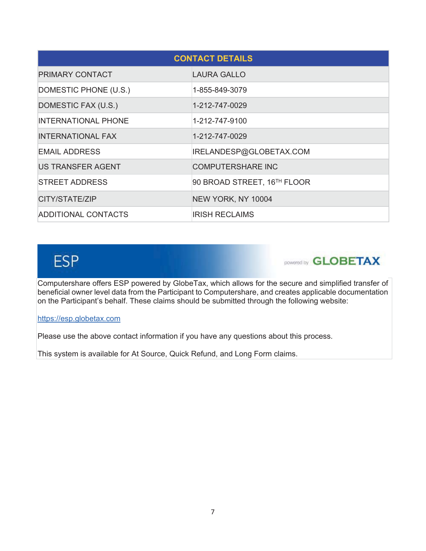| <b>CONTACT DETAILS</b>     |                             |  |  |
|----------------------------|-----------------------------|--|--|
| PRIMARY CONTACT            | <b>LAURA GALLO</b>          |  |  |
| DOMESTIC PHONE (U.S.)      | 1-855-849-3079              |  |  |
| DOMESTIC FAX (U.S.)        | 1-212-747-0029              |  |  |
| <b>INTERNATIONAL PHONE</b> | 1-212-747-9100              |  |  |
| <b>INTERNATIONAL FAX</b>   | 1-212-747-0029              |  |  |
| <b>EMAIL ADDRESS</b>       | IRELANDESP@GLOBETAX.COM     |  |  |
| <b>US TRANSFER AGENT</b>   | <b>COMPUTERSHARE INC</b>    |  |  |
| <b>STREET ADDRESS</b>      | 90 BROAD STREET, 16TH FLOOR |  |  |
| CITY/STATE/ZIP             | NEW YORK, NY 10004          |  |  |
| <b>ADDITIONAL CONTACTS</b> | IRISH RECLAIMS              |  |  |

# **ESP**

powered by **GLOBETAX** 

Computershare offers ESP powered by GlobeTax, which allows for the secure and simplified transfer of beneficial owner level data from the Participant to Computershare, and creates applicable documentation on the Participant's behalf. These claims should be submitted through the following website:

https://esp.globetax.com

Please use the above contact information if you have any questions about this process.

This system is available for At Source, Quick Refund, and Long Form claims.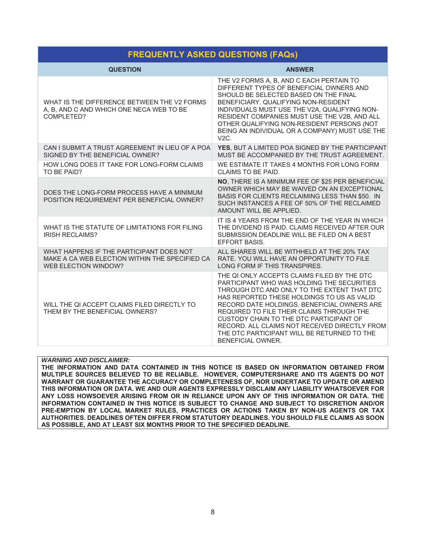### **FREQUENTLY ASKED QUESTIONS (FAQs)**

| <b>QUESTION</b>                                                                                                    | <b>ANSWER</b>                                                                                                                                                                                                                                                                                                                                                                                                                                      |
|--------------------------------------------------------------------------------------------------------------------|----------------------------------------------------------------------------------------------------------------------------------------------------------------------------------------------------------------------------------------------------------------------------------------------------------------------------------------------------------------------------------------------------------------------------------------------------|
| WHAT IS THE DIFFERENCE BETWEEN THE V2 FORMS<br>A, B, AND C AND WHICH ONE NECA WEB TO BE<br>COMPLETED?              | THE V2 FORMS A, B, AND C EACH PERTAIN TO<br>DIFFERENT TYPES OF BENEFICIAL OWNERS AND<br>SHOULD BE SELECTED BASED ON THE FINAL<br>BENEFICIARY, QUALIFYING NON-RESIDENT<br>INDIVIDUALS MUST USE THE V2A, QUALIFYING NON-<br>RESIDENT COMPANIES MUST USE THE V2B, AND ALL<br>OTHER QUALIFYING NON-RESIDENT PERSONS (NOT<br>BEING AN INDIVIDUAL OR A COMPANY) MUST USE THE<br>$V2C$ .                                                                  |
| CAN I SUBMIT A TRUST AGREEMENT IN LIEU OF A POA<br>SIGNED BY THE BENEFICIAL OWNER?                                 | YES, BUT A LIMITED POA SIGNED BY THE PARTICIPANT<br>MUST BE ACCOMPANIED BY THE TRUST AGREEMENT.                                                                                                                                                                                                                                                                                                                                                    |
| HOW LONG DOES IT TAKE FOR LONG-FORM CLAIMS<br>TO BE PAID?                                                          | WE ESTIMATE IT TAKES 4 MONTHS FOR LONG FORM<br>CLAIMS TO BE PAID.                                                                                                                                                                                                                                                                                                                                                                                  |
| DOES THE LONG-FORM PROCESS HAVE A MINIMUM<br>POSITION REQUIREMENT PER BENEFICIAL OWNER?                            | NO, THERE IS A MINIMUM FEE OF \$25 PER BENEFICIAL<br>OWNER WHICH MAY BE WAIVED ON AN EXCEPTIONAL<br><b>BASIS FOR CLIENTS RECLAIMING LESS THAN \$50. IN</b><br>SUCH INSTANCES A FEE OF 50% OF THE RECLAIMED<br>AMOUNT WILL BE APPLIED.                                                                                                                                                                                                              |
| WHAT IS THE STATUTE OF LIMITATIONS FOR FILING<br><b>IRISH RECLAIMS?</b>                                            | IT IS 4 YEARS FROM THE END OF THE YEAR IN WHICH<br>THE DIVIDEND IS PAID. CLAIMS RECEIVED AFTER OUR<br>SUBMISSION DEADLINE WILL BE FILED ON A BEST<br><b>EFFORT BASIS.</b>                                                                                                                                                                                                                                                                          |
| WHAT HAPPENS IF THE PARTICIPANT DOES NOT<br>MAKE A CA WEB ELECTION WITHIN THE SPECIFIED CA<br>WEB ELECTION WINDOW? | ALL SHARES WILL BE WITHHELD AT THE 20% TAX<br>RATE. YOU WILL HAVE AN OPPORTUNITY TO FILE<br>LONG FORM IF THIS TRANSPIRES.                                                                                                                                                                                                                                                                                                                          |
| WILL THE QI ACCEPT CLAIMS FILED DIRECTLY TO<br>THEM BY THE BENEFICIAL OWNERS?                                      | THE QI ONLY ACCEPTS CLAIMS FILED BY THE DTC<br>PARTICIPANT WHO WAS HOLDING THE SECURITIES<br>THROUGH DTC AND ONLY TO THE EXTENT THAT DTC<br>HAS REPORTED THESE HOLDINGS TO US AS VALID<br>RECORD DATE HOLDINGS, BENEFICIAL OWNERS ARE<br>REQUIRED TO FILE THEIR CLAIMS THROUGH THE<br>CUSTODY CHAIN TO THE DTC PARTICIPANT OF<br>RECORD. ALL CLAIMS NOT RECEIVED DIRECTLY FROM<br>THE DTC PARTICIPANT WILL BE RETURNED TO THE<br>BENEFICIAL OWNER. |

**WARNING AND DISCLAIMER:** 

THE INFORMATION AND DATA CONTAINED IN THIS NOTICE IS BASED ON INFORMATION OBTAINED FROM MULTIPLE SOURCES BELIEVED TO BE RELIABLE. HOWEVER, COMPUTERSHARE AND ITS AGENTS DO NOT WARRANT OR GUARANTEE THE ACCURACY OR COMPLETENESS OF, NOR UNDERTAKE TO UPDATE OR AMEND THIS INFORMATION OR DATA. WE AND OUR AGENTS EXPRESSLY DISCLAIM ANY LIABILITY WHATSOEVER FOR ANY LOSS HOWSOEVER ARISING FROM OR IN RELIANCE UPON ANY OF THIS INFORMATION OR DATA. THE INFORMATION CONTAINED IN THIS NOTICE IS SUBJECT TO CHANGE AND SUBJECT TO DISCRETION AND/OR PRE-EMPTION BY LOCAL MARKET RULES, PRACTICES OR ACTIONS TAKEN BY NON-US AGENTS OR TAX AUTHORITIES. DEADLINES OFTEN DIFFER FROM STATUTORY DEADLINES. YOU SHOULD FILE CLAIMS AS SOON AS POSSIBLE, AND AT LEAST SIX MONTHS PRIOR TO THE SPECIFIED DEADLINE.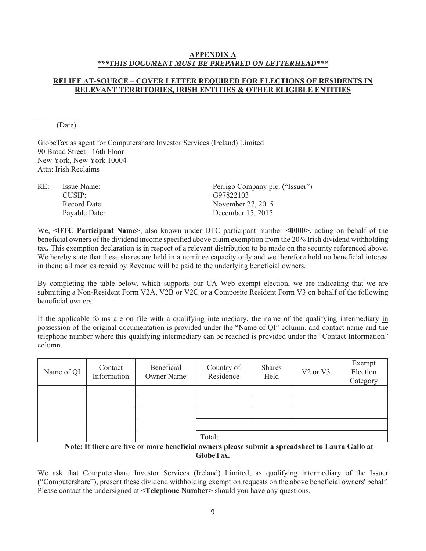#### **APPENDIX A** \*\*\*THIS DOCUMENT MUST BE PREPARED ON LETTERHEAD\*\*\*

#### **RELIEF AT-SOURCE - COVER LETTER REQUIRED FOR ELECTIONS OF RESIDENTS IN RELEVANT TERRITORIES, IRISH ENTITIES & OTHER ELIGIBLE ENTITIES**

(Date)

GlobeTax as agent for Computershare Investor Services (Ireland) Limited 90 Broad Street - 16th Floor New York, New York 10004 Attn: Irish Reclaims

| $RE^+$ | Issue Name:   | Perrigo Company plc. ("Issuer") |
|--------|---------------|---------------------------------|
|        | $CIISIP+$     | G97822103                       |
|        | Record Date:  | November 27, 2015               |
|        | Payable Date: | December 15, 2015               |

We, <DTC Participant Name>, also known under DTC participant number <0000>, acting on behalf of the beneficial owners of the dividend income specified above claim exemption from the 20% Irish dividend withholding tax. This exemption declaration is in respect of a relevant distribution to be made on the security referenced above. We hereby state that these shares are held in a nominee capacity only and we therefore hold no beneficial interest in them; all monies repaid by Revenue will be paid to the underlying beneficial owners.

By completing the table below, which supports our CA Web exempt election, we are indicating that we are submitting a Non-Resident Form V2A, V2B or V2C or a Composite Resident Form V3 on behalf of the following beneficial owners.

If the applicable forms are on file with a qualifying intermediary, the name of the qualifying intermediary in possession of the original documentation is provided under the "Name of QI" column, and contact name and the telephone number where this qualifying intermediary can be reached is provided under the "Contact Information" column.

| Name of QI | Contact<br>Information | Beneficial<br><b>Owner Name</b> | Country of<br>Residence | <b>Shares</b><br>Held | V <sub>2</sub> or V <sub>3</sub> | Exempt<br>Election<br>Category |
|------------|------------------------|---------------------------------|-------------------------|-----------------------|----------------------------------|--------------------------------|
|            |                        |                                 |                         |                       |                                  |                                |
|            |                        |                                 |                         |                       |                                  |                                |
|            |                        |                                 |                         |                       |                                  |                                |
|            |                        |                                 |                         |                       |                                  |                                |
|            |                        |                                 | Total:                  |                       |                                  |                                |

Note: If there are five or more beneficial owners please submit a spreadsheet to Laura Gallo at GlobeTax.

We ask that Computershare Investor Services (Ireland) Limited, as qualifying intermediary of the Issuer ("Computershare"), present these dividend withholding exemption requests on the above beneficial owners' behalf. Please contact the undersigned at <Telephone Number > should you have any questions.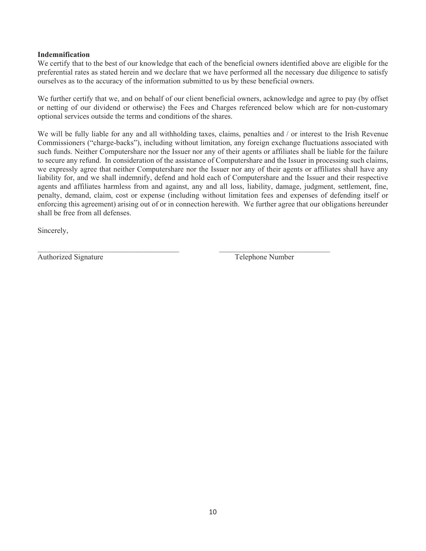#### **Indemnification**

We certify that to the best of our knowledge that each of the beneficial owners identified above are eligible for the preferential rates as stated herein and we declare that we have performed all the necessary due diligence to satisfy ourselves as to the accuracy of the information submitted to us by these beneficial owners.

We further certify that we, and on behalf of our client beneficial owners, acknowledge and agree to pay (by offset or netting of our dividend or otherwise) the Fees and Charges referenced below which are for non-customary optional services outside the terms and conditions of the shares.

We will be fully liable for any and all withholding taxes, claims, penalties and / or interest to the Irish Revenue Commissioners ("charge-backs"), including without limitation, any foreign exchange fluctuations associated with such funds. Neither Computershare nor the Issuer nor any of their agents or affiliates shall be liable for the failure to secure any refund. In consideration of the assistance of Computershare and the Issuer in processing such claims, we expressly agree that neither Computershare nor the Issuer nor any of their agents or affiliates shall have any liability for, and we shall indemnify, defend and hold each of Computershare and the Issuer and their respective agents and affiliates harmless from and against, any and all loss, liability, damage, judgment, settlement, fine, penalty, demand, claim, cost or expense (including without limitation fees and expenses of defending itself or enforcing this agreement) arising out of or in connection herewith. We further agree that our obligations hereunder shall be free from all defenses.

Sincerely,

**Authorized Signature** 

Telephone Number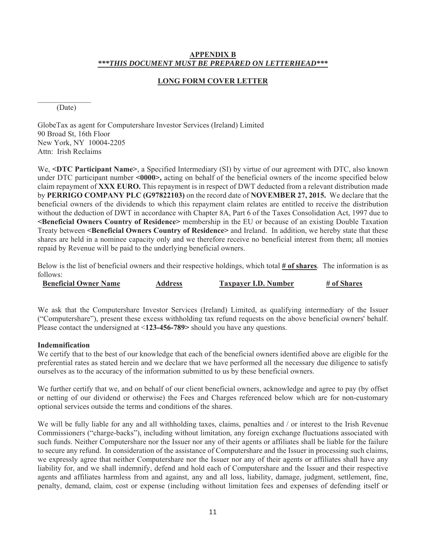#### APPENDIX B \*\*\*THIS DOCUMENT MUST BE PREPARED ON LETTERHEAD\*\*\*

#### **LONG FORM COVER LETTER**

(Date)

GlobeTax as agent for Computershare Investor Services (Ireland) Limited 90 Broad St, 16th Floor New York, NY 10004-2205 Attn: Irish Reclaims

We, <DTC Participant Name>, a Specified Intermediary (SI) by virtue of our agreement with DTC, also known under DTC participant number <0000>, acting on behalf of the beneficial owners of the income specified below claim repayment of XXX EURO. This repayment is in respect of DWT deducted from a relevant distribution made by PERRIGO COMPANY PLC (G97822103) on the record date of NOVEMBER 27, 2015. We declare that the beneficial owners of the dividends to which this repayment claim relates are entitled to receive the distribution without the deduction of DWT in accordance with Chapter 8A, Part 6 of the Taxes Consolidation Act, 1997 due to <Beneficial Owners Country of Residence> membership in the EU or because of an existing Double Taxation Treaty between <Beneficial Owners Country of Residence> and Ireland. In addition, we hereby state that these shares are held in a nominee capacity only and we therefore receive no beneficial interest from them; all monies repaid by Revenue will be paid to the underlying beneficial owners.

Below is the list of beneficial owners and their respective holdings, which total # of shares. The information is as  $follows'$ 

| <b>Beneficial Owner Name</b> | Address | <b>Taxpayer I.D. Number</b> | # of Shares |
|------------------------------|---------|-----------------------------|-------------|
|------------------------------|---------|-----------------------------|-------------|

We ask that the Computershare Investor Services (Ireland) Limited, as qualifying intermediary of the Issuer ("Computershare"), present these excess withholding tax refund requests on the above beneficial owners' behalf. Please contact the undersigned at  $\leq$ 123-456-789> should you have any questions.

#### **Indemnification**

We certify that to the best of our knowledge that each of the beneficial owners identified above are eligible for the preferential rates as stated herein and we declare that we have performed all the necessary due diligence to satisfy ourselves as to the accuracy of the information submitted to us by these beneficial owners.

We further certify that we, and on behalf of our client beneficial owners, acknowledge and agree to pay (by offset or netting of our dividend or otherwise) the Fees and Charges referenced below which are for non-customary optional services outside the terms and conditions of the shares.

We will be fully liable for any and all withholding taxes, claims, penalties and / or interest to the Irish Revenue Commissioners ("charge-backs"), including without limitation, any foreign exchange fluctuations associated with such funds. Neither Computershare nor the Issuer nor any of their agents or affiliates shall be liable for the failure to secure any refund. In consideration of the assistance of Computershare and the Issuer in processing such claims, we expressly agree that neither Computershare nor the Issuer nor any of their agents or affiliates shall have any liability for, and we shall indemnify, defend and hold each of Computershare and the Issuer and their respective agents and affiliates harmless from and against, any and all loss, liability, damage, judgment, settlement, fine, penalty, demand, claim, cost or expense (including without limitation fees and expenses of defending itself or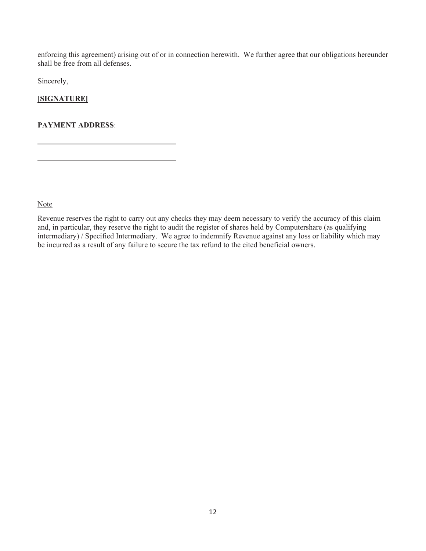enforcing this agreement) arising out of or in connection herewith. We further agree that our obligations hereunder shall be free from all defenses.

Sincerely,

#### [SIGNATURE]

**PAYMENT ADDRESS:** 

Note

Revenue reserves the right to carry out any checks they may deem necessary to verify the accuracy of this claim and, in particular, they reserve the right to audit the register of shares held by Computershare (as qualifying intermediary) / Specified Intermediary. We agree to indemnify Revenue against any loss or liability which may be incurred as a result of any failure to secure the tax refund to the cited beneficial owners.